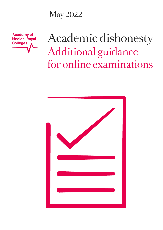May 2022

**Academy of Medical Royal Colleges** 

# Academic dishonesty Additional guidance for online examinations

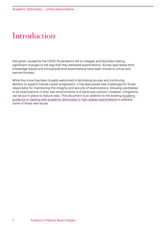### **Introduction**

Disruption caused by the COVID-19 pandemic led to colleges and faculties making significant changes to the way that they delivered examinations. Across specialties both knowledge-based and clinical/practical examinations have been moved to virtual and remote formats.

While this move has been broadly welcomed in facilitating access and continuing delivery to support trainee career progression, it has also posed new challenges for those responsible for maintaining the integrity and security of examinations. Allowing candidates to sit examinations in their own environments is of particular concern; however, mitigations can be put in place to reduce risks. This document is an addition to the existing [Academy](https://www.aomrc.org.uk/wp-content/uploads/2019/09/Academic_dishonesty_0919.pdf)  [guidance on dealing with academic dishonesty in high-stakes examinations](https://www.aomrc.org.uk/wp-content/uploads/2019/09/Academic_dishonesty_0919.pdf) to address some of these new issues.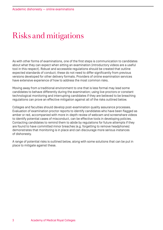#### Risks and mitigations

As with other forms of examinations, one of the first steps is communication to candidates about what they can expect when sitting an examination (introductory videos are a useful tool in this respect). Robust and accessible regulations should be created that outline expected standards of conduct; these do not need to differ significantly from previous versions developed for other delivery formats. Providers of online examination services have extensive experience of how to address the most common risks.

Moving away from a traditional environment to one that is less formal may lead some candidates to behave differently during the examination; using live proctors or constant technological monitoring and interrupting candidates if they are believed to be breaching regulations can prove an effective mitigation against all of the risks outlined below.

Colleges and faculties should develop post-examination quality assurance processes. Evaluation of examination proctor reports to identify candidates who have been flagged as amber or red, accompanied with more in-depth review of webcam and screenshare videos to identify potential cases of misconduct, can be effective tools in developing policies. Contacting candidates to remind them to abide by regulations for future attempts if they are found to have committed minor breaches (e.g. forgetting to remove headphones) demonstrates that monitoring is in place and can discourage more serious instances of dishonesty.

A range of potential risks is outlined below, along with some solutions that can be put in place to mitigate against these.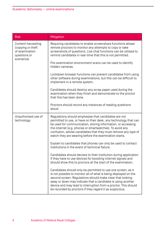| <b>Risk</b>                                                                             | Mitigation                                                                                                                                                                                                                                                                                                                                                                                  |  |
|-----------------------------------------------------------------------------------------|---------------------------------------------------------------------------------------------------------------------------------------------------------------------------------------------------------------------------------------------------------------------------------------------------------------------------------------------------------------------------------------------|--|
| Content harvesting<br>(copying or theft<br>of examination<br>questions or<br>scenarios] | Requiring candidates to enable screenshare functions allows<br>remote proctors to monitor any attempts to copy or take<br>screenshots of questions. Live chat functions can be utilised to<br>remind candidates in real-time that this is not permitted.                                                                                                                                    |  |
|                                                                                         | Pre-examination environment scans can be used to identify<br>hidden cameras.                                                                                                                                                                                                                                                                                                                |  |
|                                                                                         | Lockdown browser functions can prevent candidates from using<br>other software during examinations, but this can be difficult to<br>implement in a remote system.                                                                                                                                                                                                                           |  |
|                                                                                         | Candidates should destroy any scrap paper used during the<br>examination when they finish and demonstrate to the proctor<br>that this has been done.                                                                                                                                                                                                                                        |  |
|                                                                                         | Proctors should record any instances of reading questions<br>aloud.                                                                                                                                                                                                                                                                                                                         |  |
| Unauthorised use of<br>technology                                                       | Regulations should emphasise that candidates are not<br>permitted to use, or have on their desk, any technology that can<br>be used for communication, storing information, or accessing<br>the internet (e.g. phones or smartwatches). To avoid any<br>confusion, advise candidates that they must remove any type of<br>watch they are wearing before the examination starts.             |  |
|                                                                                         | Explain to candidates that phones can only be used to contact<br>institutions in the event of technical failure.                                                                                                                                                                                                                                                                            |  |
|                                                                                         | Candidates should declare to their institution during application<br>if they have to use devices for boosting internet signals and<br>should show this to proctors at the start of the examination.                                                                                                                                                                                         |  |
|                                                                                         | Candidates should only be permitted to use one screen, as it<br>is not possible to monitor all of what is being displayed on the<br>second screen. Regulations should make clear that looking<br>away or down may indicate that a candidate is using another<br>device and may lead to interruption from a proctor. This should<br>be recorded by proctors if they regard it as suspicious. |  |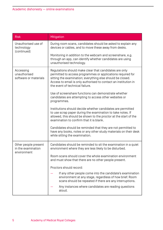| <b>Risk</b>                                               | Mitigation                                                                                                                                                                                                                                                                                |
|-----------------------------------------------------------|-------------------------------------------------------------------------------------------------------------------------------------------------------------------------------------------------------------------------------------------------------------------------------------------|
| Unauthorised use of<br>technology<br>[continued]          | During room scans, candidates should be asked to explain any<br>devices or cables, and to move these away from desks.                                                                                                                                                                     |
|                                                           | Monitoring in addition to the webcam and screenshare, e.g.<br>through an app, can identify whether candidates are using<br>unauthorised technology.                                                                                                                                       |
| Accessing<br>unauthorised<br>software or materials        | Regulations should make clear that candidates are only<br>permitted to access programmes or applications required for<br>sitting the examination; everything else should be closed.<br>Access to email is only authorised to contact an institution in<br>the event of technical failure. |
|                                                           | Use of screenshare functions can demonstrate whether<br>candidates are attempting to access other websites or<br>programmes.                                                                                                                                                              |
|                                                           | Institutions should decide whether candidates are permitted<br>to use scrap paper during the examination to take notes. If<br>allowed, this should be shown to the proctor at the start of the<br>examination to confirm that it is blank.                                                |
|                                                           | Candidates should be reminded that they are not permitted to<br>have any books, notes or any other study materials on their desk<br>while sitting the examination.                                                                                                                        |
| Other people present<br>in the examination<br>environment | Candidates should be reminded to sit the examination in a quiet<br>environment where they are less likely to be disturbed.                                                                                                                                                                |
|                                                           | Room scans should cover the whole examination environment<br>and must show that there are no other people present.                                                                                                                                                                        |
|                                                           | Proctors should record:                                                                                                                                                                                                                                                                   |
|                                                           | If any other people come into the candidate's examination<br>environment at any stage, regardless of how brief. Room<br>scans should be repeated if there are any interruptions.                                                                                                          |
|                                                           | Any instances where candidates are reading questions<br>aloud.                                                                                                                                                                                                                            |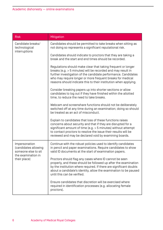| <b>Risk</b>                                                                                        | Mitigation                                                                                                                                                                                                                                                                                                                       |
|----------------------------------------------------------------------------------------------------|----------------------------------------------------------------------------------------------------------------------------------------------------------------------------------------------------------------------------------------------------------------------------------------------------------------------------------|
| Candidate breaks/<br>technological<br>interruptions                                                | Candidates should be permitted to take breaks when sitting as<br>not doing so represents a significant reputational risk.                                                                                                                                                                                                        |
|                                                                                                    | Candidates should indicate to proctors that they are taking a<br>break and the start and end times should be recorded.                                                                                                                                                                                                           |
|                                                                                                    | Regulations should make clear that taking frequent or longer<br>breaks [e.g. > 5 minutes] will be recorded and may result in<br>further investigation of the candidate performance. Candidates<br>who may require longer or more frequent breaks for medical<br>reasons should indicate this to their institution when applying. |
|                                                                                                    | Consider breaking papers up into shorter sections or allow<br>candidates to log out if they have finished within the allotted<br>time, to reduce the need to take breaks.                                                                                                                                                        |
|                                                                                                    | Webcam and screenshare functions should not be deliberately<br>switched off at any time during an examination; doing so should<br>be treated as an act of misconduct.                                                                                                                                                            |
|                                                                                                    | Explain to candidates that loss of these functions raises<br>concerns about security and that if they are disrupted for a<br>significant amount of time $(e.g. > 5$ minutes) without attempt<br>to contact proctors to resolve the issue their results will be<br>reviewed and may be declared void by examining boards.         |
| Impersonation<br>[candidates allowing<br>someone else to sit<br>the examination in<br>their place] | Continue with the robust policies used to identify candidates<br>in pencil and paper examinations. Require candidates to show<br>valid ID documents at the start of examination papers.                                                                                                                                          |
|                                                                                                    | Proctors should flag any cases where ID cannot be seen<br>properly, and these should be followed up after the examination<br>by the institution where required. If there are significant doubts<br>about a candidate's identity, allow the examination to be paused<br>until this can be verified.                               |
|                                                                                                    | Ensure candidates that discretion will be exercised where<br>required in identification processes [e.g. allocating female<br>proctors).                                                                                                                                                                                          |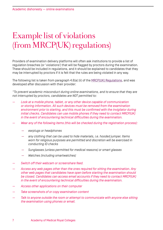## Example list of violations (from MRCP(UK) regulations)

Providers of examination delivery platforms will often ask institutions to provide a list of regulation breaches (or 'violations') that will be flagged by proctors during the examination. These should be included in regulations, and it should be explained to candidates that they may be interrupted by proctors if it is felt that the rules are being violated in any way.

The following list is taken from paragraph 4.6(a) (ii) of the [MRCP\(UK\) Regulations,](https://www.mrcpuk.org/sites/default/files/documents/2021%20MRCP%28UK%29%20Regulations%20November%202021.pdf) and was developed after discussion with their provider:

*"To prevent academic misconduct during online examinations, and to ensure that they are not interrupted by proctors, candidates are NOT permitted to:*

- *Look at a mobile phone, tablet, or any other device capable of communication or storing information. All such devices must be removed from the examination environment prior to starting, and this must be confirmed with the invigilator during initial checks. Candidates can use mobile phones if they need to contact MRCP(UK) in the event of encountering technical difficulties during the examination.*
- *Wear any of the following items (this will be checked during the registration process):*
	- *earplugs or headphones*
	- *any clothing that can be used to hide materials, i.e. hooded jumper. Items worn for religious purposes are permitted and discretion will be exercised in conducting ID checks*
	- *Sunglasses (unless permitted for medical reasons) or smart glasses*
	- *Watches (including smartwatches)*
- *Switch off their webcam or screenshare feed.*
- *Access any web pages other than the ones required for sitting the examination. Any other web pages that candidates have open before starting the examination should be closed. Candidates can access email accounts if they need to contact MRCP(UK) in the event of encountering technical difficulties during the examination.*
- *Access other applications on their computer*
- *Take screenshots of or copy examination content*
- *Talk to anyone outside the room or attempt to communicate with anyone else sitting the examination using phones or email.*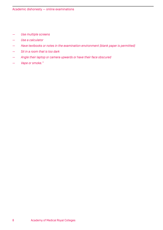- *Use multiple screens*
- *Use a calculator*
- *Have textbooks or notes in the examination environment (blank paper is permitted)*
- *Sit in a room that is too dark*
- *Angle their laptop or camera upwards or have their face obscured*
- *Vape or smoke."*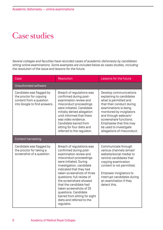#### Case studies

*Several colleges and faculties have recorded cases of academic dishonesty by candidates sitting online examinations. Some examples are included below as cases studies, including the resolution of the issue and lessons for the future.*

| Case                                                                                                           | <b>Resolution</b>                                                                                                                                                                                                                                                                                                                                                                                                                      | Lessons for the future                                                                                                                                                                                                                                                                             |  |  |
|----------------------------------------------------------------------------------------------------------------|----------------------------------------------------------------------------------------------------------------------------------------------------------------------------------------------------------------------------------------------------------------------------------------------------------------------------------------------------------------------------------------------------------------------------------------|----------------------------------------------------------------------------------------------------------------------------------------------------------------------------------------------------------------------------------------------------------------------------------------------------|--|--|
| Unauthorised software                                                                                          |                                                                                                                                                                                                                                                                                                                                                                                                                                        |                                                                                                                                                                                                                                                                                                    |  |  |
| Candidate was flagged by<br>the proctor for copying<br>content from a question<br>into Google to find answers. | Breach of regulations was<br>confirmed during post-<br>examination review and<br>misconduct proceedings<br>were initiated, Candidate<br>initially denied allegation<br>until informed that there<br>was video evidence.<br>Candidate barred from<br>sitting for four diets and<br>referred to the regulator.                                                                                                                           | Develop communications<br>explaining to candidates<br>what is permitted and<br>that their conduct during<br>examinations is being<br>monitored by invigilators<br>and through webcam/<br>screenshare functions.<br>Emphasise that this may<br>be used to investigate<br>allegations of misconduct. |  |  |
| <b>Content harvesting</b>                                                                                      |                                                                                                                                                                                                                                                                                                                                                                                                                                        |                                                                                                                                                                                                                                                                                                    |  |  |
| Candidate was flagged by<br>the proctor for taking a<br>screenshot of a question.                              | Breach of regulations was<br>confirmed during post-<br>examination review and<br>misconduct proceedings<br>were initiated. During<br>investigation, candidate<br>indicated that they had<br>taken screenshots of three<br>questions; full review of<br>the screenshare showed<br>that the candidate had<br>taken screenshots of 25<br>questions. Candidate<br>barred from sitting for eight<br>diets and referred to the<br>regulator. | Communicate through<br>various channels [email/<br>website/social media) to<br>remind candidates that<br>copying examination<br>content is not permitted.<br>Empower invigilators to<br>interrupt candidates during<br>an examination if they<br>detect this.                                      |  |  |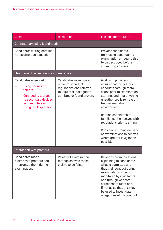| Case                                                                                                                                                  | <b>Resolution</b>                                                                                                                  | Lessons for the future                                                                                                                                                                                                                                                                                                                                                                                 |  |  |
|-------------------------------------------------------------------------------------------------------------------------------------------------------|------------------------------------------------------------------------------------------------------------------------------------|--------------------------------------------------------------------------------------------------------------------------------------------------------------------------------------------------------------------------------------------------------------------------------------------------------------------------------------------------------------------------------------------------------|--|--|
| Content harvesting (continued)                                                                                                                        |                                                                                                                                    |                                                                                                                                                                                                                                                                                                                                                                                                        |  |  |
| Candidates writing detailed<br>notes after each question.                                                                                             |                                                                                                                                    | Prevent candidates<br>from using paper during<br>examination or require this<br>to be destroyed before<br>submitting answers.                                                                                                                                                                                                                                                                          |  |  |
| Use of unauthorised devices or materials                                                                                                              |                                                                                                                                    |                                                                                                                                                                                                                                                                                                                                                                                                        |  |  |
| Candidates observed:<br>Using phones or<br>tablets<br><b>Connecting laptops</b><br>to secondary devices<br>(e.g. monitors or<br>using HDMI splitters] | Candidates investigated<br>under misconduct<br>regulations and referred<br>to regulator if allegation<br>admitted or found proven. | Work with providers to<br>ensure that invigilators<br>conduct thorough room<br>scans prior to examination<br>starting, and that anything<br>unauthorised is removed<br>from examination<br>environment<br>Remind candidates to<br>familiarise themselves with<br>regulations prior to sitting.<br>Consider returning delivery<br>of examinations to centres<br>where greater invigilation<br>possible. |  |  |
| Interaction with proctors                                                                                                                             |                                                                                                                                    |                                                                                                                                                                                                                                                                                                                                                                                                        |  |  |
| Candidates made<br>claims that proctors had<br>interrupted them during<br>examination.                                                                | Review of examination<br>footage showed these<br>claims to be false.                                                               | Develop communications<br>explaining to candidates<br>what is permitted and<br>that their conduct during<br>examinations is being<br>monitored by invigilators<br>and through webcam/<br>screenshare functions.<br>Emphasise that this may<br>be used to investigate<br>allegations of misconduct.                                                                                                     |  |  |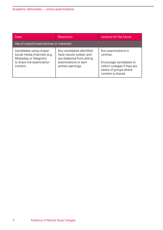| Case                                                                                                                     | <b>Resolution</b>                                                                                                                | Lessons for the future                                                                                                                   |  |  |
|--------------------------------------------------------------------------------------------------------------------------|----------------------------------------------------------------------------------------------------------------------------------|------------------------------------------------------------------------------------------------------------------------------------------|--|--|
| Use of unauthorised devices or materials                                                                                 |                                                                                                                                  |                                                                                                                                          |  |  |
| Candidates using closed<br>social media channels [e.g.<br>WhatsApp or Telegram)<br>to share live examination<br>content. | Any candidates identified<br>have results voided, and<br>are disbarred from sitting<br>examinations or sent<br>written warnings. | Run examinations in<br>centres.<br>Encourage candidates to<br>inform colleges if they are<br>aware of groups where<br>content is shared. |  |  |